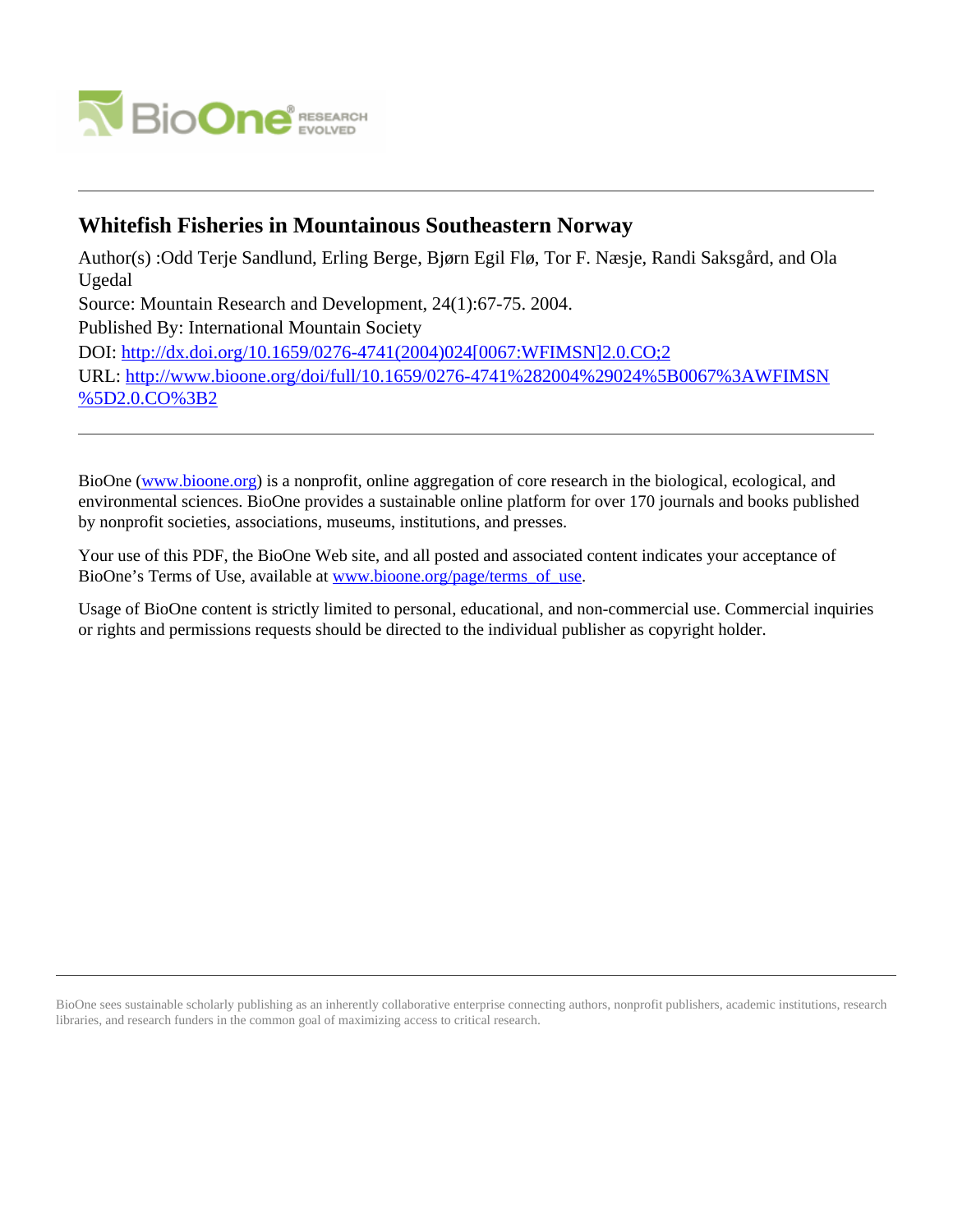

# **Whitefish Fisheries in Mountainous Southeastern Norway**

Author(s) :Odd Terje Sandlund, Erling Berge, Bjørn Egil Flø, Tor F. Næsje, Randi Saksgård, and Ola Ugedal Source: Mountain Research and Development, 24(1):67-75. 2004. Published By: International Mountain Society DOI: [http://dx.doi.org/10.1659/0276-4741\(2004\)024\[0067:WFIMSN\]2.0.CO;2](http://dx.doi.org/10.1659/0276-4741(2004)024[0067:WFIMSN]2.0.CO;2) URL: [http://www.bioone.org/doi/full/10.1659/0276-4741%282004%29024%5B0067%3AWFIMSN](http://www.bioone.org/doi/full/10.1659/0276-4741%282004%29024%5B0067%3AWFIMSN%5D2.0.CO%3B2) [%5D2.0.CO%3B2](http://www.bioone.org/doi/full/10.1659/0276-4741%282004%29024%5B0067%3AWFIMSN%5D2.0.CO%3B2)

BioOne [\(www.bioone.org\)](http://www.bioone.org) is a nonprofit, online aggregation of core research in the biological, ecological, and environmental sciences. BioOne provides a sustainable online platform for over 170 journals and books published by nonprofit societies, associations, museums, institutions, and presses.

Your use of this PDF, the BioOne Web site, and all posted and associated content indicates your acceptance of BioOne's Terms of Use, available at [www.bioone.org/page/terms\\_of\\_use.](http://www.bioone.org/page/terms_of_use)

Usage of BioOne content is strictly limited to personal, educational, and non-commercial use. Commercial inquiries or rights and permissions requests should be directed to the individual publisher as copyright holder.

BioOne sees sustainable scholarly publishing as an inherently collaborative enterprise connecting authors, nonprofit publishers, academic institutions, research libraries, and research funders in the common goal of maximizing access to critical research.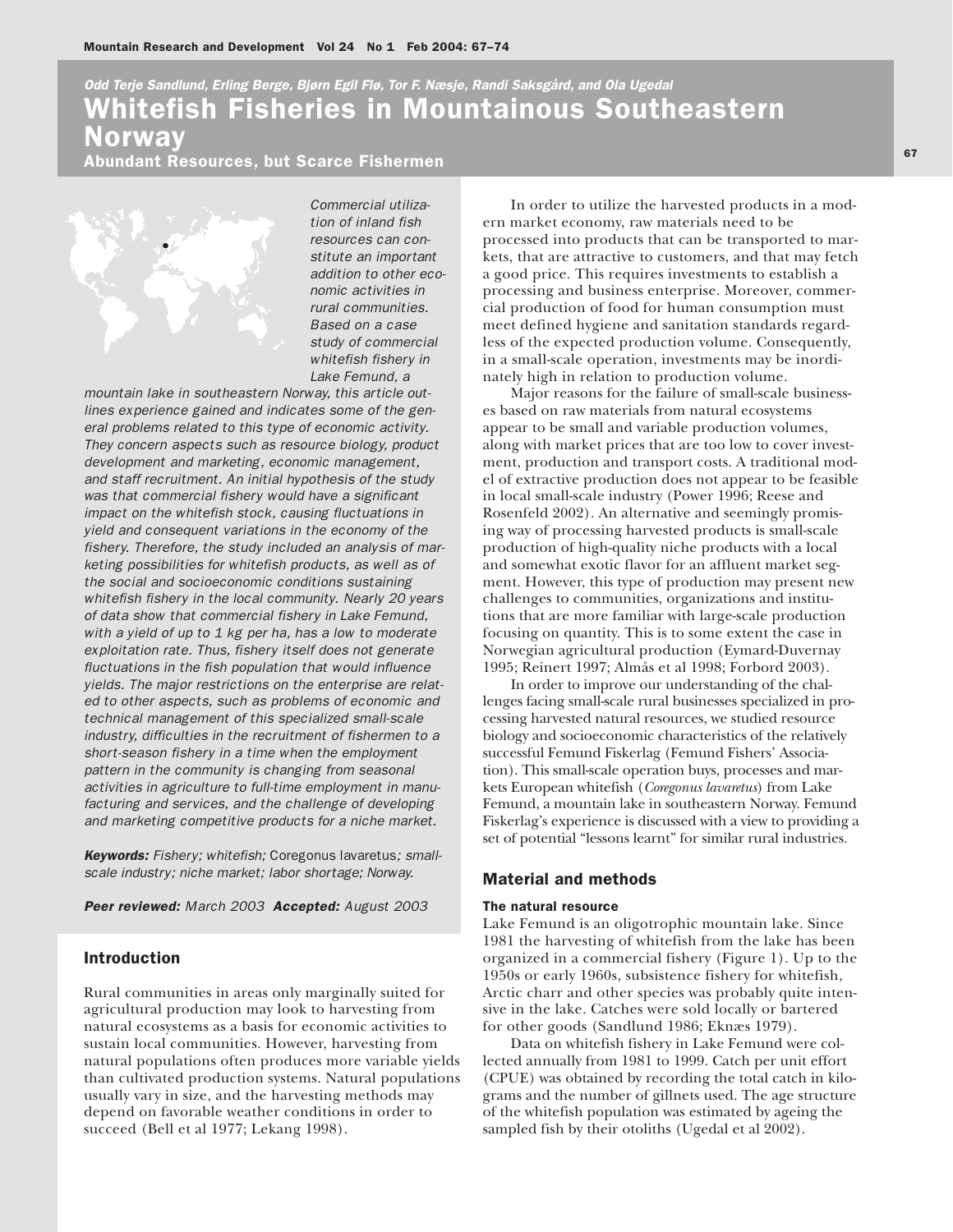# itefish Fisheries in Mountainous Southeastern rway *Odd Terje Sandlund, Erling Berge, Bjørn Egil Flø, Tor F. Næsje, Randi Saksgård, and Ola Ugedal*

**bundant Resources, but Scarce Fishermen** 



*Commercial utilization of inland fish resources can constitute an important addition to other economic activities in rural communities. Based on a case study of commercial whitefish fishery in Lake Femund, a*

*mountain lake in southeastern Norway, this article outlines experience gained and indicates some of the general problems related to this type of economic activity. They concern aspects such as resource biology, product development and marketing, economic management, and staff recruitment. An initial hypothesis of the study was that commercial fishery would have a significant impact on the whitefish stock, causing fluctuations in yield and consequent variations in the economy of the fishery. Therefore, the study included an analysis of marketing possibilities for whitefish products, as well as of the social and socioeconomic conditions sustaining whitefish fishery in the local community. Nearly 20 years of data show that commercial fishery in Lake Femund, with a yield of up to 1 kg per ha, has a low to moderate exploitation rate. Thus, fishery itself does not generate fluctuations in the fish population that would influence yields. The major restrictions on the enterprise are related to other aspects, such as problems of economic and technical management of this specialized small-scale industry, difficulties in the recruitment of fishermen to a short-season fishery in a time when the employment pattern in the community is changing from seasonal activities in agriculture to full-time employment in manufacturing and services, and the challenge of developing and marketing competitive products for a niche market.*

*Keywords: Fishery; whitefish;* Coregonus lavaretus*; smallscale industry; niche market; labor shortage; Norway.*

*Peer reviewed: March 2003 Accepted: August 2003*

# Introduction

Rural communities in areas only marginally suited for agricultural production may look to harvesting from natural ecosystems as a basis for economic activities to sustain local communities. However, harvesting from natural populations often produces more variable yields than cultivated production systems. Natural populations usually vary in size, and the harvesting methods may depend on favorable weather conditions in order to succeed (Bell et al 1977; Lekang 1998).

In order to utilize the harvested products in a modern market economy, raw materials need to be processed into products that can be transported to markets, that are attractive to customers, and that may fetch a good price. This requires investments to establish a processing and business enterprise. Moreover, commercial production of food for human consumption must meet defined hygiene and sanitation standards regardless of the expected production volume. Consequently, in a small-scale operation, investments may be inordinately high in relation to production volume.

Major reasons for the failure of small-scale businesses based on raw materials from natural ecosystems appear to be small and variable production volumes, along with market prices that are too low to cover investment, production and transport costs. A traditional model of extractive production does not appear to be feasible in local small-scale industry (Power 1996; Reese and Rosenfeld 2002). An alternative and seemingly promising way of processing harvested products is small-scale production of high-quality niche products with a local and somewhat exotic flavor for an affluent market segment. However, this type of production may present new challenges to communities, organizations and institutions that are more familiar with large-scale production focusing on quantity. This is to some extent the case in Norwegian agricultural production (Eymard-Duvernay 1995; Reinert 1997; Almås et al 1998; Forbord 2003).

In order to improve our understanding of the challenges facing small-scale rural businesses specialized in processing harvested natural resources, we studied resource biology and socioeconomic characteristics of the relatively successful Femund Fiskerlag (Femund Fishers' Association). This small-scale operation buys, processes and markets European whitefish (*Coregonus lavaretus*) from Lake Femund, a mountain lake in southeastern Norway. Femund Fiskerlag's experience is discussed with a view to providing a set of potential "lessons learnt" for similar rural industries.

# Material and methods

### The natural resource

Lake Femund is an oligotrophic mountain lake. Since 1981 the harvesting of whitefish from the lake has been organized in a commercial fishery (Figure 1). Up to the 1950s or early 1960s, subsistence fishery for whitefish, Arctic charr and other species was probably quite intensive in the lake. Catches were sold locally or bartered for other goods (Sandlund 1986; Eknæs 1979).

Data on whitefish fishery in Lake Femund were collected annually from 1981 to 1999. Catch per unit effort (CPUE) was obtained by recording the total catch in kilograms and the number of gillnets used. The age structure of the whitefish population was estimated by ageing the sampled fish by their otoliths (Ugedal et al 2002).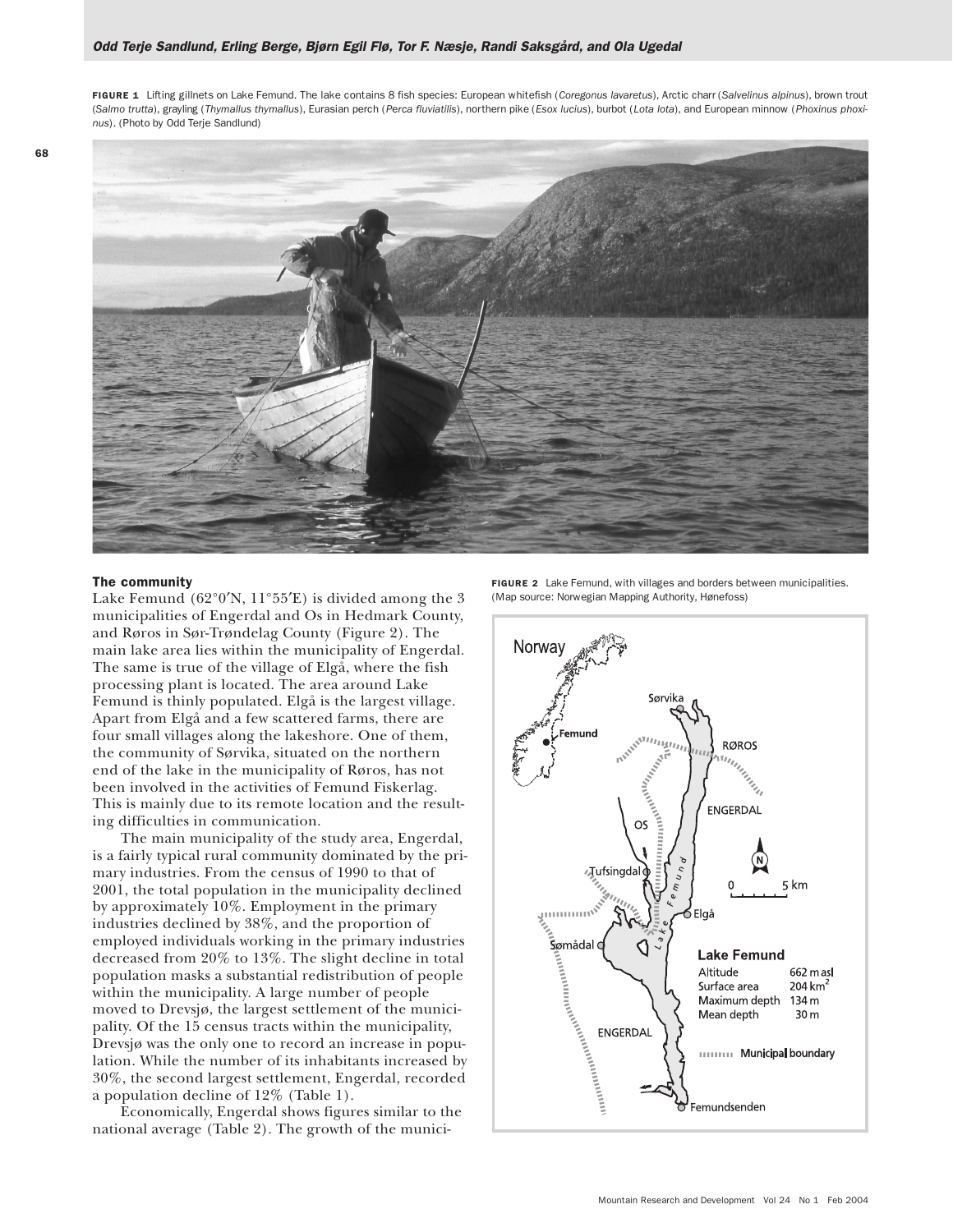FIGURE 1 Lifting gillnets on Lake Femund. The lake contains 8 fish species: European whitefish (*Coregonus lavaretus*), Arctic charr (*Salvelinus alpinus*), brown trout (*Salmo trutta*), grayling (*Thymallus thymallus*), Eurasian perch (*P*e*rca fluviatilis*), northern pike (*Esox lucius*), burbot (*Lota lota*), and European minnow (*Phoxinus phoxinus*). (Photo by Odd Terje Sandlund)



## The community

Lake Femund  $(62^{\circ}0'N, 11^{\circ}55'E)$  is divided among the 3 municipalities of Engerdal and Os in Hedmark County, and Røros in Sør-Trøndelag County (Figure 2). The main lake area lies within the municipality of Engerdal. The same is true of the village of Elgå, where the fish processing plant is located. The area around Lake Femund is thinly populated. Elgå is the largest village. Apart from Elgå and a few scattered farms, there are four small villages along the lakeshore. One of them, the community of Sørvika, situated on the northern end of the lake in the municipality of Røros, has not been involved in the activities of Femund Fiskerlag. This is mainly due to its remote location and the resulting difficulties in communication.

The main municipality of the study area, Engerdal, is a fairly typical rural community dominated by the primary industries. From the census of 1990 to that of 2001, the total population in the municipality declined by approximately 10%. Employment in the primary industries declined by 38%, and the proportion of employed individuals working in the primary industries decreased from 20% to 13%. The slight decline in total population masks a substantial redistribution of people within the municipality. A large number of people moved to Drevsjø, the largest settlement of the municipality. Of the 15 census tracts within the municipality, Drevsjø was the only one to record an increase in population. While the number of its inhabitants increased by 30%, the second largest settlement, Engerdal, recorded a population decline of 12% (Table 1).

Economically, Engerdal shows figures similar to the national average (Table 2). The growth of the munici-

FIGURE 2 Lake Femund, with villages and borders between municipalities. (Map source: Norwegian Mapping Authority, Hønefoss)

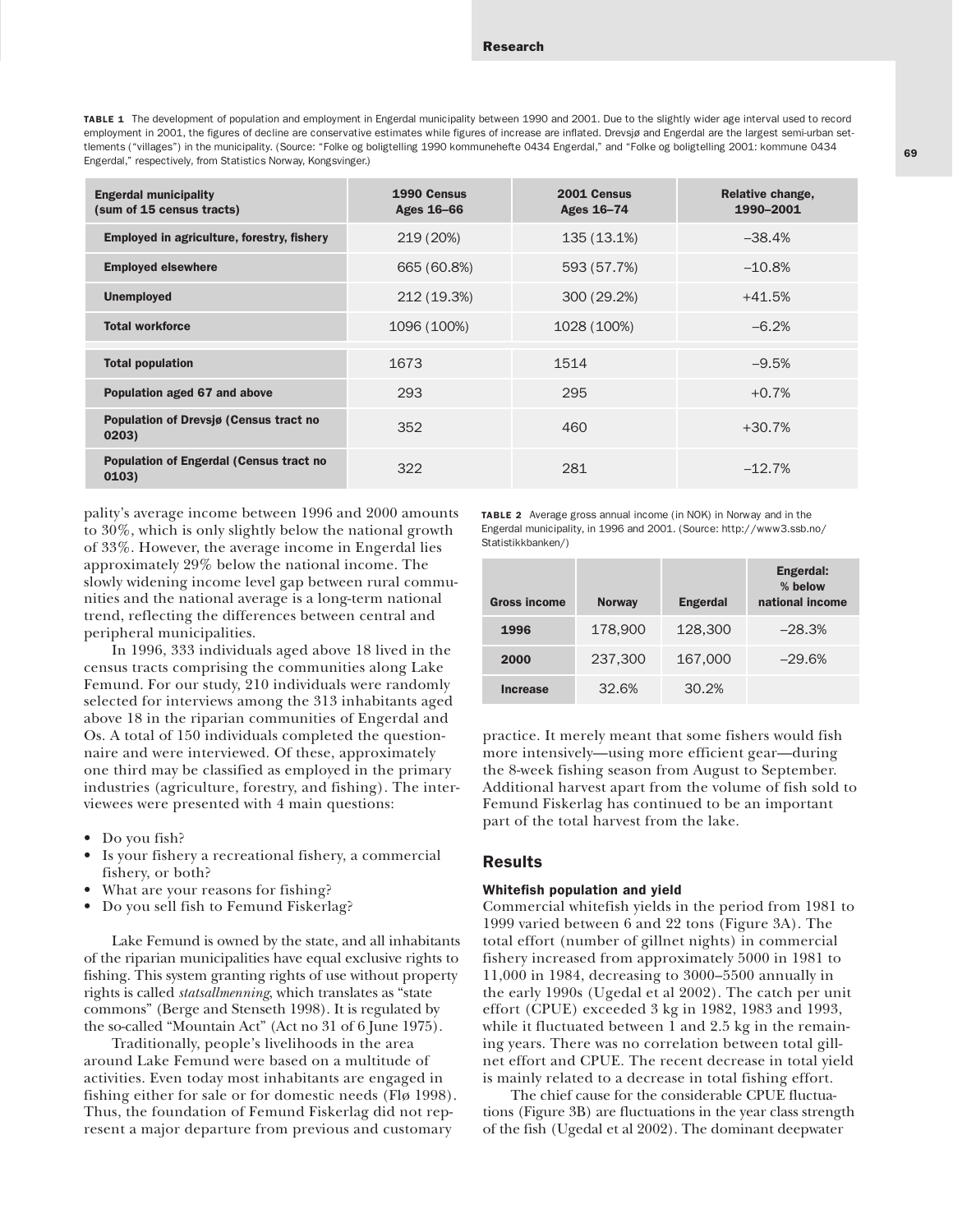69

TABLE 1 The development of population and employment in Engerdal municipality between 1990 and 2001. Due to the slightly wider age interval used to record employment in 2001, the figures of decline are conservative estimates while figures of increase are inflated. Drevsiø and Engerdal are the largest semi-urban settlements ("villages") in the municipality. (Source: "Folke og boligtelling 1990 kommunehefte 0434 Engerdal," and "Folke og boligtelling 2001: kommune 0434 Engerdal," respectively, from Statistics Norway, Kongsvinger.)

| <b>Engerdal municipality</b><br>(sum of 15 census tracts) | 1990 Census<br>Ages 16-66 | 2001 Census<br>Ages 16-74 | Relative change,<br>1990-2001 |
|-----------------------------------------------------------|---------------------------|---------------------------|-------------------------------|
| Employed in agriculture, forestry, fishery                | 219 (20%)                 | 135 (13.1%)               | $-38.4%$                      |
| <b>Employed elsewhere</b>                                 | 665 (60.8%)               | 593 (57.7%)               | $-10.8%$                      |
| <b>Unemployed</b>                                         | 212 (19.3%)               | 300 (29.2%)               | $+41.5%$                      |
| <b>Total workforce</b>                                    | 1096 (100%)               | 1028 (100%)               | $-6.2%$                       |
| <b>Total population</b>                                   | 1673                      | 1514                      | $-9.5%$                       |
| Population aged 67 and above                              | 293                       | 295                       | $+0.7%$                       |
| Population of Drevsjø (Census tract no<br>0203)           | 352                       | 460                       | $+30.7%$                      |
| <b>Population of Engerdal (Census tract no</b><br>0103)   | 322                       | 281                       | $-12.7%$                      |

pality's average income between 1996 and 2000 amounts to 30%, which is only slightly below the national growth of 33%. However, the average income in Engerdal lies approximately 29% below the national income. The slowly widening income level gap between rural communities and the national average is a long-term national trend, reflecting the differences between central and peripheral municipalities.

In 1996, 333 individuals aged above 18 lived in the census tracts comprising the communities along Lake Femund. For our study, 210 individuals were randomly selected for interviews among the 313 inhabitants aged above 18 in the riparian communities of Engerdal and Os. A total of 150 individuals completed the questionnaire and were interviewed. Of these, approximately one third may be classified as employed in the primary industries (agriculture, forestry, and fishing). The interviewees were presented with 4 main questions:

- Do you fish?
- Is your fishery a recreational fishery, a commercial fishery, or both?
- What are your reasons for fishing?
- Do you sell fish to Femund Fiskerlag?

Lake Femund is owned by the state, and all inhabitants of the riparian municipalities have equal exclusive rights to fishing. This system granting rights of use without property rights is called *statsallmenning*, which translates as "state commons" (Berge and Stenseth 1998). It is regulated by the so-called "Mountain Act" (Act no 31 of 6 June 1975).

Traditionally, people's livelihoods in the area around Lake Femund were based on a multitude of activities. Even today most inhabitants are engaged in fishing either for sale or for domestic needs (Flø 1998). Thus, the foundation of Femund Fiskerlag did not represent a major departure from previous and customary

TABLE 2 Average gross annual income (in NOK) in Norway and in the Engerdal municipality, in 1996 and 2001. (Source: http://www3.ssb.no/ Statistikkbanken/)

| <b>Gross income</b> | <b>Norway</b> | <b>Engerdal</b> | Engerdal:<br>% below<br>national income |
|---------------------|---------------|-----------------|-----------------------------------------|
| 1996                | 178,900       | 128,300         | $-28.3%$                                |
| 2000                | 237.300       | 167,000         | $-29.6%$                                |
| Increase            | 32.6%         | 30.2%           |                                         |

practice. It merely meant that some fishers would fish more intensively—using more efficient gear—during the 8-week fishing season from August to September. Additional harvest apart from the volume of fish sold to Femund Fiskerlag has continued to be an important part of the total harvest from the lake.

# Results

## Whitefish population and yield

Commercial whitefish yields in the period from 1981 to 1999 varied between 6 and 22 tons (Figure 3A). The total effort (number of gillnet nights) in commercial fishery increased from approximately 5000 in 1981 to 11,000 in 1984, decreasing to 3000–5500 annually in the early 1990s (Ugedal et al 2002). The catch per unit effort (CPUE) exceeded 3 kg in 1982, 1983 and 1993, while it fluctuated between 1 and 2.5 kg in the remaining years. There was no correlation between total gillnet effort and CPUE. The recent decrease in total yield is mainly related to a decrease in total fishing effort.

The chief cause for the considerable CPUE fluctuations (Figure 3B) are fluctuations in the year class strength of the fish (Ugedal et al 2002). The dominant deepwater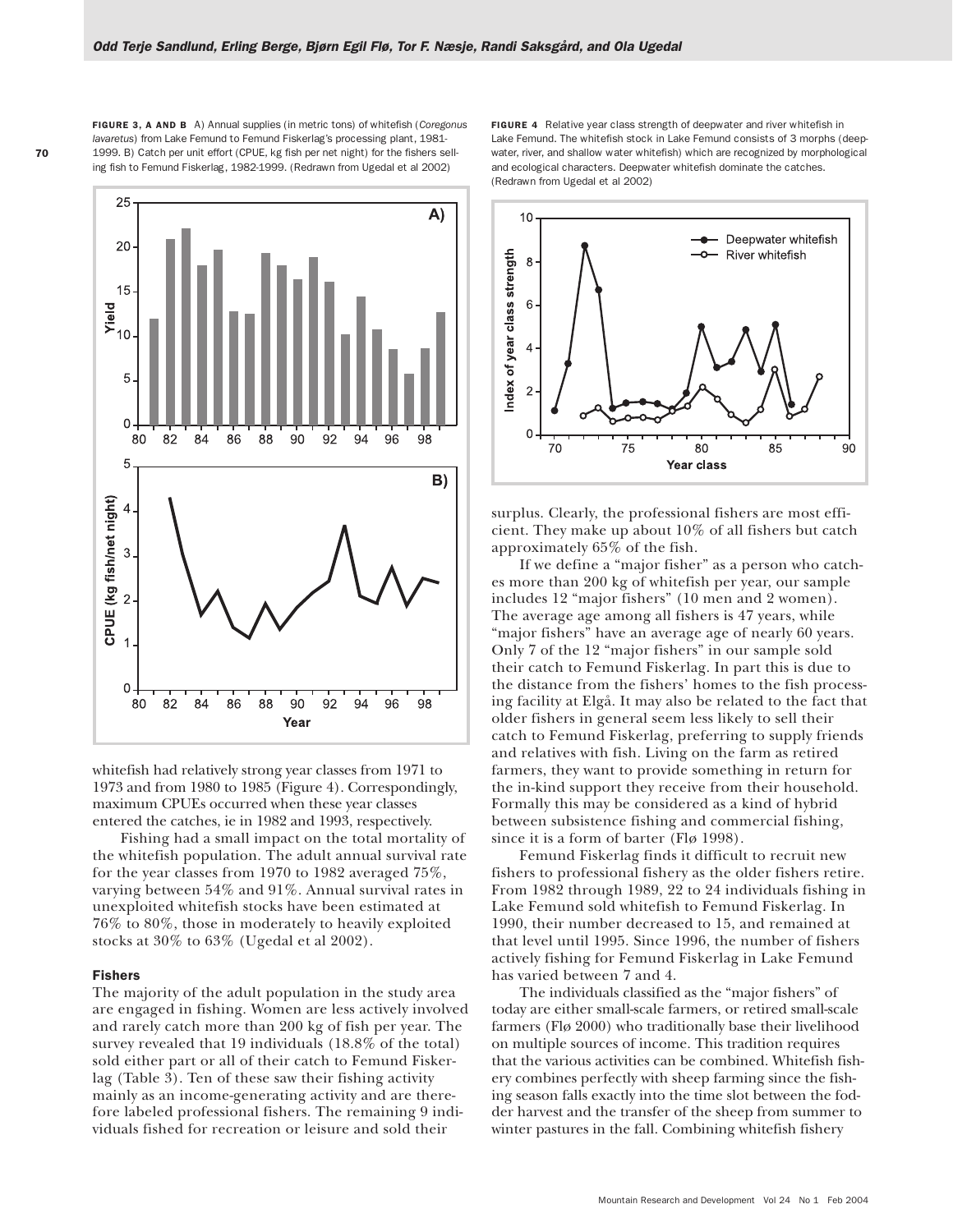FIGURE 3, A AND B A) Annual supplies (in metric tons) of whitefish (*Coregonus lavaretus*) from Lake Femund to Femund Fiskerlag's processing plant, 1981- 1999. B) Catch per unit effort (CPUE, kg fish per net night) for the fishers selling fish to Femund Fiskerlag, 1982-1999. (Redrawn from Ugedal et al 2002)



whitefish had relatively strong year classes from 1971 to 1973 and from 1980 to 1985 (Figure 4). Correspondingly, maximum CPUEs occurred when these year classes entered the catches, ie in 1982 and 1993, respectively.

Fishing had a small impact on the total mortality of the whitefish population. The adult annual survival rate for the year classes from 1970 to 1982 averaged 75%, varying between 54% and 91%. Annual survival rates in unexploited whitefish stocks have been estimated at 76% to 80%, those in moderately to heavily exploited stocks at 30% to 63% (Ugedal et al 2002).

## Fishers

The majority of the adult population in the study area are engaged in fishing. Women are less actively involved and rarely catch more than 200 kg of fish per year. The survey revealed that 19 individuals (18.8% of the total) sold either part or all of their catch to Femund Fiskerlag (Table 3). Ten of these saw their fishing activity mainly as an income-generating activity and are therefore labeled professional fishers. The remaining 9 individuals fished for recreation or leisure and sold their

FIGURE 4 Relative year class strength of deepwater and river whitefish in Lake Femund. The whitefish stock in Lake Femund consists of 3 morphs (deepwater, river, and shallow water whitefish) which are recognized by morphological and ecological characters. Deepwater whitefish dominate the catches. (Redrawn from Ugedal et al 2002)



surplus. Clearly, the professional fishers are most efficient. They make up about 10% of all fishers but catch approximately 65% of the fish.

If we define a "major fisher" as a person who catches more than 200 kg of whitefish per year, our sample includes 12 "major fishers" (10 men and 2 women). The average age among all fishers is 47 years, while "major fishers" have an average age of nearly 60 years. Only 7 of the 12 "major fishers" in our sample sold their catch to Femund Fiskerlag. In part this is due to the distance from the fishers' homes to the fish processing facility at Elgå. It may also be related to the fact that older fishers in general seem less likely to sell their catch to Femund Fiskerlag, preferring to supply friends and relatives with fish. Living on the farm as retired farmers, they want to provide something in return for the in-kind support they receive from their household. Formally this may be considered as a kind of hybrid between subsistence fishing and commercial fishing, since it is a form of barter (Flø 1998).

Femund Fiskerlag finds it difficult to recruit new fishers to professional fishery as the older fishers retire. From 1982 through 1989, 22 to 24 individuals fishing in Lake Femund sold whitefish to Femund Fiskerlag. In 1990, their number decreased to 15, and remained at that level until 1995. Since 1996, the number of fishers actively fishing for Femund Fiskerlag in Lake Femund has varied between 7 and 4.

The individuals classified as the "major fishers" of today are either small-scale farmers, or retired small-scale farmers (Flø 2000) who traditionally base their livelihood on multiple sources of income. This tradition requires that the various activities can be combined. Whitefish fishery combines perfectly with sheep farming since the fishing season falls exactly into the time slot between the fodder harvest and the transfer of the sheep from summer to winter pastures in the fall. Combining whitefish fishery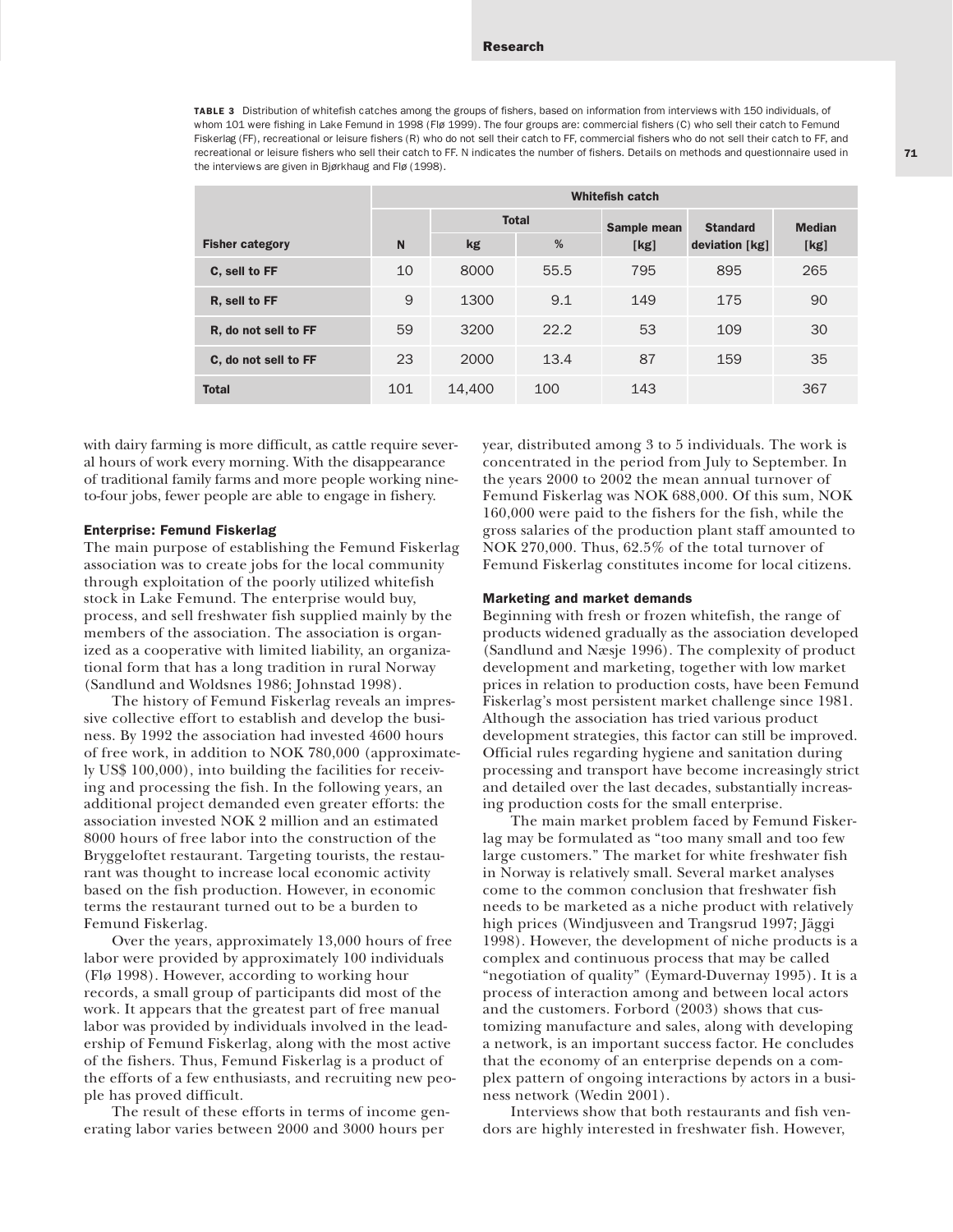TABLE 3 Distribution of whitefish catches among the groups of fishers, based on information from interviews with 150 individuals, of whom 101 were fishing in Lake Femund in 1998 (Flø 1999). The four groups are: commercial fishers (C) who sell their catch to Femund Fiskerlag (FF), recreational or leisure fishers (R) who do not sell their catch to FF, commercial fishers who do not sell their catch to FF, and recreational or leisure fishers who sell their catch to FF. N indicates the number of fishers. Details on methods and questionnaire used in the interviews are given in Bjørkhaug and Flø (1998).

|                        | <b>Whitefish catch</b> |              |      |             |                  |               |  |  |
|------------------------|------------------------|--------------|------|-------------|------------------|---------------|--|--|
|                        |                        | <b>Total</b> |      | Sample mean | <b>Standard</b>  | <b>Median</b> |  |  |
| <b>Fisher category</b> | N                      | kg           | %    | [kg]        | deviation $[kg]$ | [kg]          |  |  |
| C, sell to FF          | 10                     | 8000         | 55.5 | 795         | 895              | 265           |  |  |
| R, sell to FF          | 9                      | 1300         | 9.1  | 149         | 175              | 90            |  |  |
| R, do not sell to FF   | 59                     | 3200         | 22.2 | 53          | 109              | 30            |  |  |
| C, do not sell to FF   | 23                     | 2000         | 13.4 | 87          | 159              | 35            |  |  |
| <b>Total</b>           | 101                    | 14,400       | 100  | 143         |                  | 367           |  |  |

with dairy farming is more difficult, as cattle require several hours of work every morning. With the disappearance of traditional family farms and more people working nineto-four jobs, fewer people are able to engage in fishery.

## Enterprise: Femund Fiskerlag

The main purpose of establishing the Femund Fiskerlag association was to create jobs for the local community through exploitation of the poorly utilized whitefish stock in Lake Femund. The enterprise would buy, process, and sell freshwater fish supplied mainly by the members of the association. The association is organized as a cooperative with limited liability, an organizational form that has a long tradition in rural Norway (Sandlund and Woldsnes 1986; Johnstad 1998).

The history of Femund Fiskerlag reveals an impressive collective effort to establish and develop the business. By 1992 the association had invested 4600 hours of free work, in addition to NOK 780,000 (approximately US\$ 100,000), into building the facilities for receiving and processing the fish. In the following years, an additional project demanded even greater efforts: the association invested NOK 2 million and an estimated 8000 hours of free labor into the construction of the Bryggeloftet restaurant. Targeting tourists, the restaurant was thought to increase local economic activity based on the fish production. However, in economic terms the restaurant turned out to be a burden to Femund Fiskerlag.

Over the years, approximately 13,000 hours of free labor were provided by approximately 100 individuals (Flø 1998). However, according to working hour records, a small group of participants did most of the work. It appears that the greatest part of free manual labor was provided by individuals involved in the leadership of Femund Fiskerlag, along with the most active of the fishers. Thus, Femund Fiskerlag is a product of the efforts of a few enthusiasts, and recruiting new people has proved difficult.

The result of these efforts in terms of income generating labor varies between 2000 and 3000 hours per

year, distributed among 3 to 5 individuals. The work is concentrated in the period from July to September. In the years 2000 to 2002 the mean annual turnover of Femund Fiskerlag was NOK 688,000. Of this sum, NOK 160,000 were paid to the fishers for the fish, while the gross salaries of the production plant staff amounted to NOK 270,000. Thus, 62.5% of the total turnover of Femund Fiskerlag constitutes income for local citizens.

## Marketing and market demands

Beginning with fresh or frozen whitefish, the range of products widened gradually as the association developed (Sandlund and Næsje 1996). The complexity of product development and marketing, together with low market prices in relation to production costs, have been Femund Fiskerlag's most persistent market challenge since 1981. Although the association has tried various product development strategies, this factor can still be improved. Official rules regarding hygiene and sanitation during processing and transport have become increasingly strict and detailed over the last decades, substantially increasing production costs for the small enterprise.

The main market problem faced by Femund Fiskerlag may be formulated as "too many small and too few large customers." The market for white freshwater fish in Norway is relatively small. Several market analyses come to the common conclusion that freshwater fish needs to be marketed as a niche product with relatively high prices (Windjusveen and Trangsrud 1997; Jäggi 1998). However, the development of niche products is a complex and continuous process that may be called "negotiation of quality" (Eymard-Duvernay 1995). It is a process of interaction among and between local actors and the customers. Forbord (2003) shows that customizing manufacture and sales, along with developing a network, is an important success factor. He concludes that the economy of an enterprise depends on a complex pattern of ongoing interactions by actors in a business network (Wedin 2001).

Interviews show that both restaurants and fish vendors are highly interested in freshwater fish. However,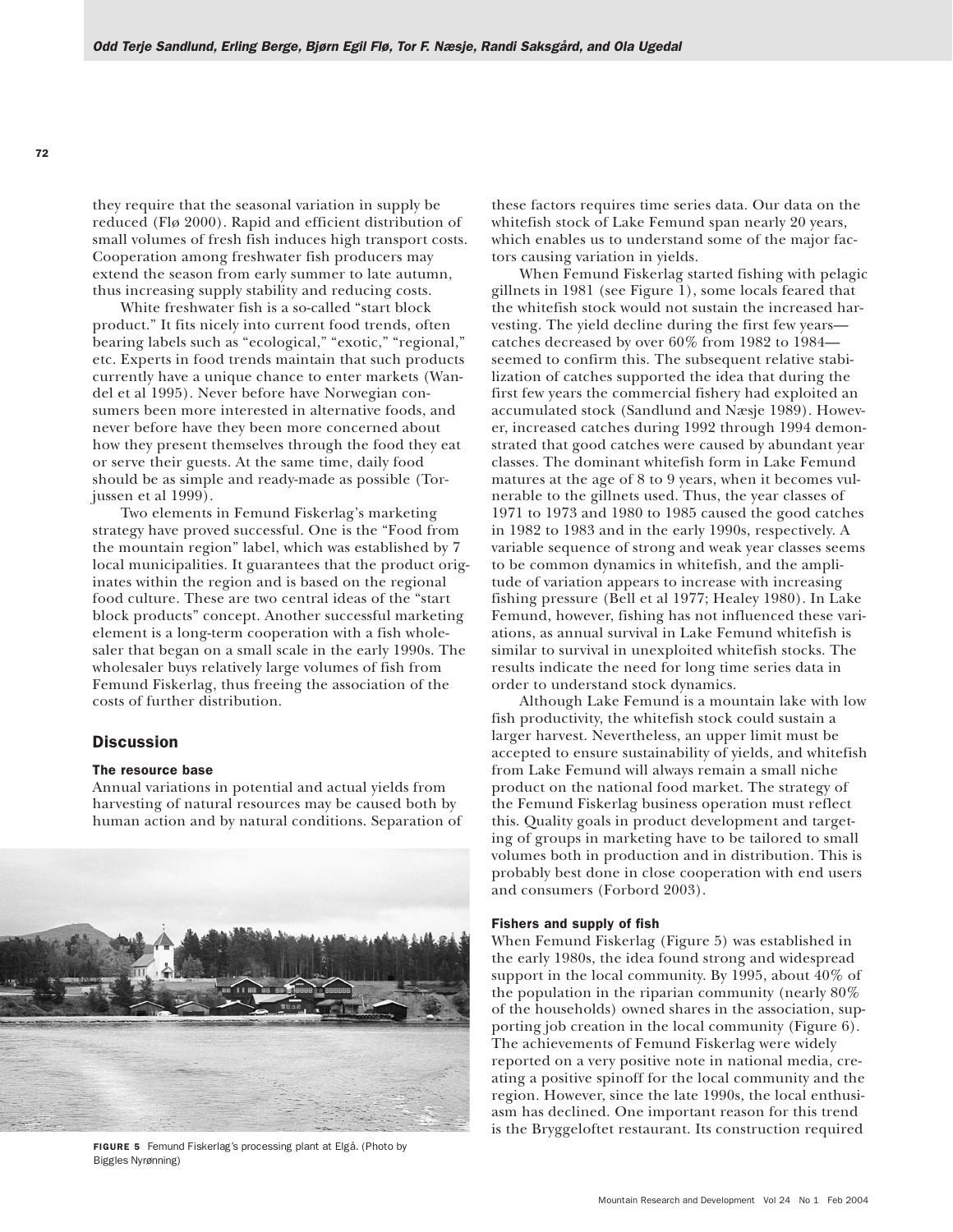they require that the seasonal variation in supply be reduced (Flø 2000). Rapid and efficient distribution of small volumes of fresh fish induces high transport costs. Cooperation among freshwater fish producers may extend the season from early summer to late autumn, thus increasing supply stability and reducing costs.

White freshwater fish is a so-called "start block product." It fits nicely into current food trends, often bearing labels such as "ecological," "exotic," "regional," etc. Experts in food trends maintain that such products currently have a unique chance to enter markets (Wandel et al 1995). Never before have Norwegian consumers been more interested in alternative foods, and never before have they been more concerned about how they present themselves through the food they eat or serve their guests. At the same time, daily food should be as simple and ready-made as possible (Torjussen et al 1999).

Two elements in Femund Fiskerlag's marketing strategy have proved successful. One is the "Food from the mountain region" label, which was established by 7 local municipalities. It guarantees that the product originates within the region and is based on the regional food culture. These are two central ideas of the "start block products" concept. Another successful marketing element is a long-term cooperation with a fish wholesaler that began on a small scale in the early 1990s. The wholesaler buys relatively large volumes of fish from Femund Fiskerlag, thus freeing the association of the costs of further distribution.

## **Discussion**

## The resource base

Annual variations in potential and actual yields from harvesting of natural resources may be caused both by human action and by natural conditions. Separation of



FIGURE 5 Femund Fiskerlag's processing plant at Elgå. (Photo by Biggles Nyrønning)

these factors requires time series data. Our data on the whitefish stock of Lake Femund span nearly 20 years, which enables us to understand some of the major factors causing variation in yields.

When Femund Fiskerlag started fishing with pelagic gillnets in 1981 (see Figure 1), some locals feared that the whitefish stock would not sustain the increased harvesting. The yield decline during the first few years catches decreased by over 60% from 1982 to 1984 seemed to confirm this. The subsequent relative stabilization of catches supported the idea that during the first few years the commercial fishery had exploited an accumulated stock (Sandlund and Næsje 1989). However, increased catches during 1992 through 1994 demonstrated that good catches were caused by abundant year classes. The dominant whitefish form in Lake Femund matures at the age of 8 to 9 years, when it becomes vulnerable to the gillnets used. Thus, the year classes of 1971 to 1973 and 1980 to 1985 caused the good catches in 1982 to 1983 and in the early 1990s, respectively. A variable sequence of strong and weak year classes seems to be common dynamics in whitefish, and the amplitude of variation appears to increase with increasing fishing pressure (Bell et al 1977; Healey 1980). In Lake Femund, however, fishing has not influenced these variations, as annual survival in Lake Femund whitefish is similar to survival in unexploited whitefish stocks. The results indicate the need for long time series data in order to understand stock dynamics.

Although Lake Femund is a mountain lake with low fish productivity, the whitefish stock could sustain a larger harvest. Nevertheless, an upper limit must be accepted to ensure sustainability of yields, and whitefish from Lake Femund will always remain a small niche product on the national food market. The strategy of the Femund Fiskerlag business operation must reflect this. Quality goals in product development and targeting of groups in marketing have to be tailored to small volumes both in production and in distribution. This is probably best done in close cooperation with end users and consumers (Forbord 2003).

# Fishers and supply of fish

When Femund Fiskerlag (Figure 5) was established in the early 1980s, the idea found strong and widespread support in the local community. By 1995, about 40% of the population in the riparian community (nearly 80% of the households) owned shares in the association, supporting job creation in the local community (Figure 6). The achievements of Femund Fiskerlag were widely reported on a very positive note in national media, creating a positive spinoff for the local community and the region. However, since the late 1990s, the local enthusiasm has declined. One important reason for this trend is the Bryggeloftet restaurant. Its construction required

72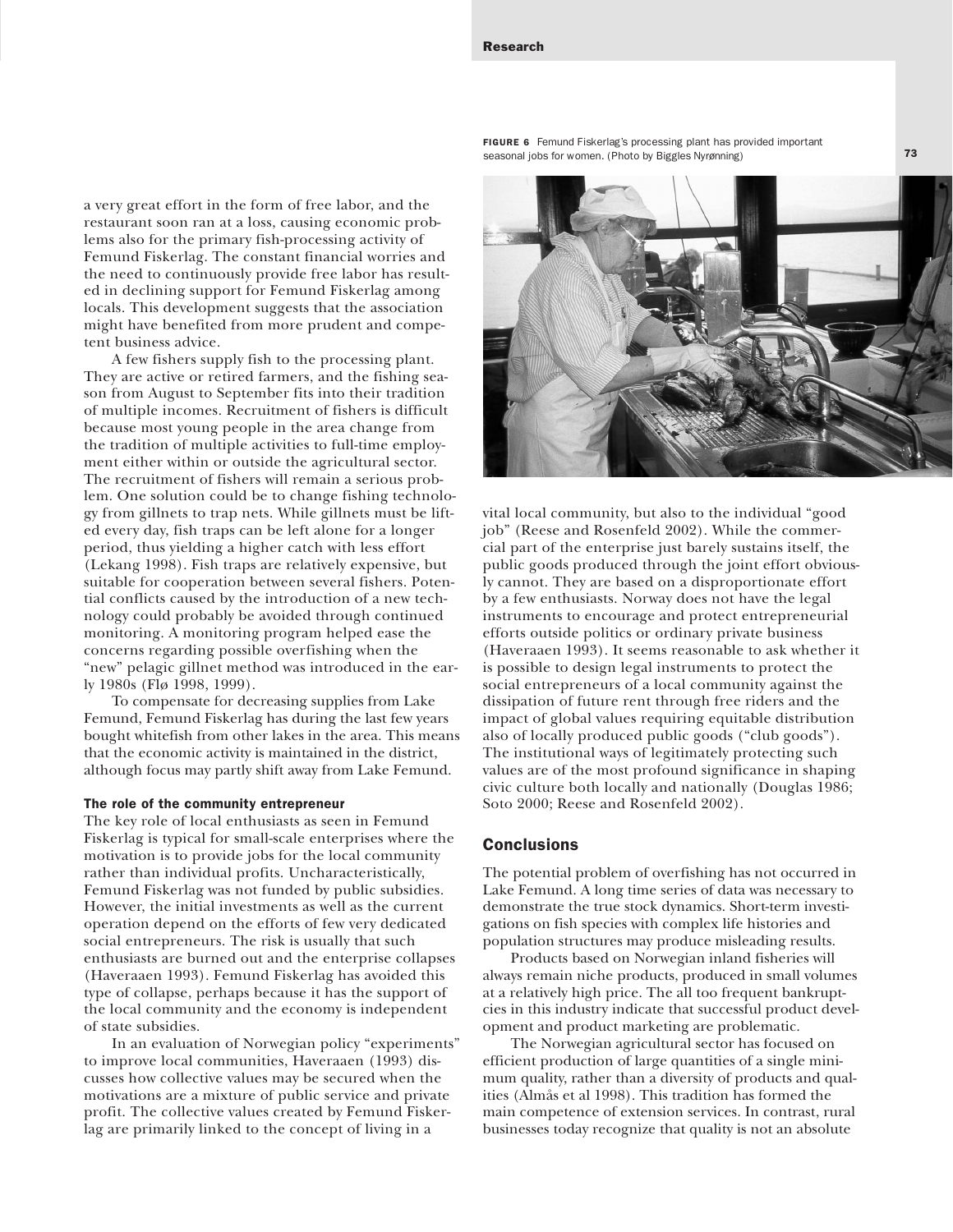Research

a very great effort in the form of free labor, and the restaurant soon ran at a loss, causing economic problems also for the primary fish-processing activity of Femund Fiskerlag. The constant financial worries and the need to continuously provide free labor has resulted in declining support for Femund Fiskerlag among locals. This development suggests that the association might have benefited from more prudent and competent business advice.

A few fishers supply fish to the processing plant. They are active or retired farmers, and the fishing season from August to September fits into their tradition of multiple incomes. Recruitment of fishers is difficult because most young people in the area change from the tradition of multiple activities to full-time employment either within or outside the agricultural sector. The recruitment of fishers will remain a serious problem. One solution could be to change fishing technology from gillnets to trap nets. While gillnets must be lifted every day, fish traps can be left alone for a longer period, thus yielding a higher catch with less effort (Lekang 1998). Fish traps are relatively expensive, but suitable for cooperation between several fishers. Potential conflicts caused by the introduction of a new technology could probably be avoided through continued monitoring. A monitoring program helped ease the concerns regarding possible overfishing when the "new" pelagic gillnet method was introduced in the early 1980s (Flø 1998, 1999).

To compensate for decreasing supplies from Lake Femund, Femund Fiskerlag has during the last few years bought whitefish from other lakes in the area. This means that the economic activity is maintained in the district, although focus may partly shift away from Lake Femund.

#### The role of the community entrepreneur

The key role of local enthusiasts as seen in Femund Fiskerlag is typical for small-scale enterprises where the motivation is to provide jobs for the local community rather than individual profits. Uncharacteristically, Femund Fiskerlag was not funded by public subsidies. However, the initial investments as well as the current operation depend on the efforts of few very dedicated social entrepreneurs. The risk is usually that such enthusiasts are burned out and the enterprise collapses (Haveraaen 1993). Femund Fiskerlag has avoided this type of collapse, perhaps because it has the support of the local community and the economy is independent of state subsidies.

In an evaluation of Norwegian policy "experiments" to improve local communities, Haveraaen (1993) discusses how collective values may be secured when the motivations are a mixture of public service and private profit. The collective values created by Femund Fiskerlag are primarily linked to the concept of living in a

FIGURE 6 Femund Fiskerlag's processing plant has provided important seasonal jobs for women. (Photo by Biggles Nyrønning)



vital local community, but also to the individual "good job" (Reese and Rosenfeld 2002). While the commercial part of the enterprise just barely sustains itself, the public goods produced through the joint effort obviously cannot. They are based on a disproportionate effort by a few enthusiasts. Norway does not have the legal instruments to encourage and protect entrepreneurial efforts outside politics or ordinary private business (Haveraaen 1993). It seems reasonable to ask whether it is possible to design legal instruments to protect the social entrepreneurs of a local community against the dissipation of future rent through free riders and the impact of global values requiring equitable distribution also of locally produced public goods ("club goods"). The institutional ways of legitimately protecting such values are of the most profound significance in shaping civic culture both locally and nationally (Douglas 1986; Soto 2000; Reese and Rosenfeld 2002).

# **Conclusions**

The potential problem of overfishing has not occurred in Lake Femund. A long time series of data was necessary to demonstrate the true stock dynamics. Short-term investigations on fish species with complex life histories and population structures may produce misleading results.

Products based on Norwegian inland fisheries will always remain niche products, produced in small volumes at a relatively high price. The all too frequent bankruptcies in this industry indicate that successful product development and product marketing are problematic.

The Norwegian agricultural sector has focused on efficient production of large quantities of a single minimum quality, rather than a diversity of products and qualities (Almås et al 1998). This tradition has formed the main competence of extension services. In contrast, rural businesses today recognize that quality is not an absolute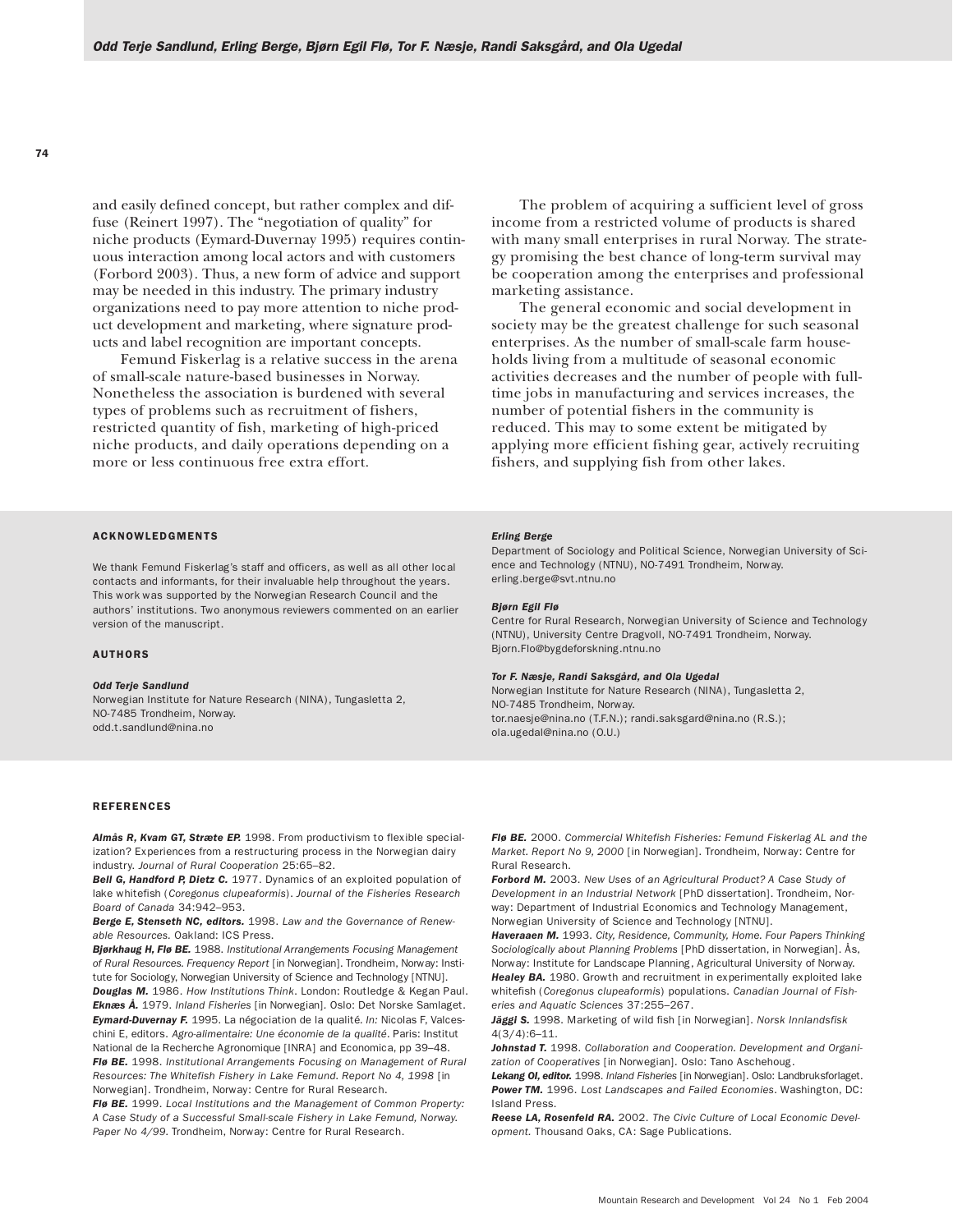and easily defined concept, but rather complex and diffuse (Reinert 1997). The "negotiation of quality" for niche products (Eymard-Duvernay 1995) requires continuous interaction among local actors and with customers (Forbord 2003). Thus, a new form of advice and support may be needed in this industry. The primary industry organizations need to pay more attention to niche product development and marketing, where signature products and label recognition are important concepts.

Femund Fiskerlag is a relative success in the arena of small-scale nature-based businesses in Norway. Nonetheless the association is burdened with several types of problems such as recruitment of fishers, restricted quantity of fish, marketing of high-priced niche products, and daily operations depending on a more or less continuous free extra effort.

### ACKNOWLEDGMENTS

We thank Femund Fiskerlag's staff and officers, as well as all other local contacts and informants, for their invaluable help throughout the years. This work was supported by the Norwegian Research Council and the authors' institutions. Two anonymous reviewers commented on an earlier version of the manuscript.

#### AUTHORS

#### *Odd Terje Sandlund*

Norwegian Institute for Nature Research (NINA), Tungasletta 2, NO-7485 Trondheim, Norway. odd.t.sandlund@nina.no

#### REFERENCES

*Almås R, Kvam GT, Stræte EP.* 1998. From productivism to flexible specialization? Experiences from a restructuring process in the Norwegian dairy industry. *Journal of Rural Cooperation* 25:65–82.

**Bell G, Handford P, Dietz C.** 1977. Dynamics of an exploited population of lake whitefish (*Coregonus clupeaformis*). *Journal of the Fisheries Research Board of Canada* 34:942–953.

*Berge E, Stenseth NC, editors.* 1998. *Law and the Governance of Renewable Resources.* Oakland: ICS Press.

*Bjørkhaug H, Flø BE.* 1988. *Institutional Arrangements Focusing Management of Rural Resources. Frequency Report* [in Norwegian]. Trondheim, Norway: Institute for Sociology, Norwegian University of Science and Technology [NTNU].

*Douglas M.* 1986. *How Institutions Think*. London: Routledge & Kegan Paul. *Eknæs Å.* 1979. *Inland Fisheries* [in Norwegian]*.* Oslo: Det Norske Samlaget. *Eymard-Duvernay F.* 1995. La négociation de la qualité*. In:* Nicolas F, Valceschini E, editors. *Agro-alimentaire: Une économie de la qualité*. Paris: Institut

National de la Recherche Agronomique [INRA] and Economica, pp 39–48. *Flø BE.* 1998. *Institutional Arrangements Focusing on Management of Rural Resources: The Whitefish Fishery in Lake Femund. Report No 4, 1998* [in Norwegian]. Trondheim, Norway: Centre for Rural Research.

*Flø BE.* 1999. *Local Institutions and the Management of Common Property: A Case Study of a Successful Small-scale Fishery in Lake Femund, Norway. Paper No 4/99.* Trondheim, Norway: Centre for Rural Research.

The problem of acquiring a sufficient level of gross income from a restricted volume of products is shared with many small enterprises in rural Norway. The strategy promising the best chance of long-term survival may be cooperation among the enterprises and professional marketing assistance.

The general economic and social development in society may be the greatest challenge for such seasonal enterprises. As the number of small-scale farm households living from a multitude of seasonal economic activities decreases and the number of people with fulltime jobs in manufacturing and services increases, the number of potential fishers in the community is reduced. This may to some extent be mitigated by applying more efficient fishing gear, actively recruiting fishers, and supplying fish from other lakes.

#### *Erling Berge*

Department of Sociology and Political Science, Norwegian University of Science and Technology (NTNU), NO-7491 Trondheim, Norway. erling.berge@svt.ntnu.no

#### *Bjørn Egil Flø*

Centre for Rural Research, Norwegian University of Science and Technology (NTNU), University Centre Dragvoll, NO-7491 Trondheim, Norway. Bjorn.Flo@bygdeforskning.ntnu.no

#### *Tor F. Næsje, Randi Saksgård, and Ola Ugedal*

Norwegian Institute for Nature Research (NINA), Tungasletta 2, NO-7485 Trondheim, Norway. tor.naesje@nina.no (T.F.N.); randi.saksgard@nina.no (R.S.); ola.ugedal@nina.no (O.U.)

*Flø BE.* 2000. *Commercial Whitefish Fisheries: Femund Fiskerlag AL and the Market. Report No 9, 2000* [in Norwegian]. Trondheim, Norway: Centre for Rural Research.

*Forbord M.* 2003. *New Uses of an Agricultural Product? A Case Study of Development in an Industrial Network* [PhD dissertation]. Trondheim, Norway: Department of Industrial Economics and Technology Management, Norwegian University of Science and Technology [NTNU].

*Haveraaen M.* 1993. *City, Residence, Community, Home. Four Papers Thinking Sociologically about Planning Problems* [PhD dissertation, in Norwegian]. Ås, Norway: Institute for Landscape Planning, Agricultural University of Norway. *Healey BA.* 1980. Growth and recruitment in experimentally exploited lake whitefish (*Coregonus clupeaformis*) populations. *Canadian Journal of Fish-*

*eries and Aquatic Sciences* 37:255–267. *Jäggi S.* 1998. Marketing of wild fish [in Norwegian]. *Norsk Innlandsfisk*

4(3/4):6–11. *Johnstad T.* 1998. *Collaboration and Cooperation. Development and Organi-*

*zation of Cooperatives* [in Norwegian]*.* Oslo: Tano Aschehoug. *Lekang OI, editor.* 1998. *Inland Fisheries* [in Norwegian]. Oslo: Landbruksforlaget. *Power TM.* 1996. *Lost Landscapes and Failed Economies*. Washington, DC: Island Press.

*Reese LA, Rosenfeld RA.* 2002. *The Civic Culture of Local Economic Development.* Thousand Oaks, CA: Sage Publications.